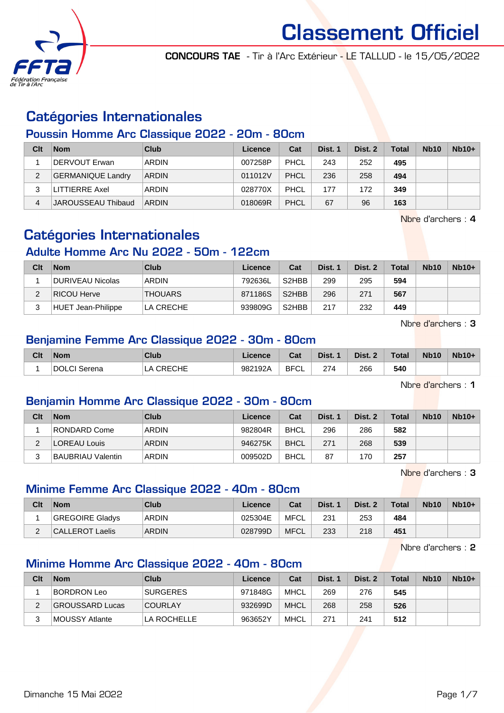

CONCOURS TAE - Tir à l'Arc Extérieur - LE TALLUD - le 15/05/2022

# Catégories Internationales

# Poussin Homme Arc Classique 2022 - 20m - 80cm

| Clt | <b>Nom</b>               | Club         | Licence | Cat  | Dist. 1 | Dist. 2 | <b>Total</b> | <b>Nb10</b> | $Nb10+$ |
|-----|--------------------------|--------------|---------|------|---------|---------|--------------|-------------|---------|
|     | DERVOUT Erwan            | <b>ARDIN</b> | 007258P | PHCL | 243     | 252     | 495          |             |         |
| 2   | <b>GERMANIQUE Landry</b> | <b>ARDIN</b> | 011012V | PHCL | 236     | 258     | 494          |             |         |
| 3   | <b>LITTIERRE Axel</b>    | <b>ARDIN</b> | 028770X | PHCL | 177     | 172     | 349          |             |         |
| 4   | JAROUSSEAU Thibaud       | ARDIN        | 018069R | PHCL | 67      | 96      | 163          |             |         |

Nbre d'archers : 4

# Catégories Internationales

# Adulte Homme Arc Nu 2022 - 50m - 122cm

| Clt | <b>Nom</b>         | Club           | Licence | Cat                | Dist. 1 | Dist. 2 | Total | <b>Nb10</b> | $Nb10+$ |
|-----|--------------------|----------------|---------|--------------------|---------|---------|-------|-------------|---------|
|     | DURIVEAU Nicolas   | <b>ARDIN</b>   | 792636L | S <sub>2</sub> HBB | 299     | 295     | 594   |             |         |
|     | RICOU Herve        | <b>THOUARS</b> | 871186S | S <sub>2</sub> HBB | 296     | 271     | 567   |             |         |
|     | HUET Jean-Philippe | LA CRECHE      | 939809G | S2HBB              | 217     | 232     | 449   |             |         |

Nbre d'archers : 3

### Benjamine Femme Arc Classique 2022 - 30m - 80cm

| Clt | <b>Nom</b>          | Club                 | Licence | Cat         | Dist. | Dist. 2 | <b>Total</b> | <b>Nb10</b> | $Nb10+$ |
|-----|---------------------|----------------------|---------|-------------|-------|---------|--------------|-------------|---------|
|     | <b>DOLCI</b> Serena | <b>CRECHE</b><br>LA. | 982192A | <b>BFCL</b> | 274   | 266     | 540          |             |         |

Nbre d'archers : 1

# Benjamin Homme Arc Classique 2022 - 30m - 80cm

| Clt | <b>Nom</b>               | Club         | Licence | Cat         | Dist. 1 | Dist. 2 | <b>Total</b> | <b>Nb10</b> | $Nb10+$ |
|-----|--------------------------|--------------|---------|-------------|---------|---------|--------------|-------------|---------|
|     | RONDARD Come             | <b>ARDIN</b> | 982804R | <b>BHCL</b> | 296     | 286     | 582          |             |         |
|     | LOREAU Louis             | <b>ARDIN</b> | 946275K | <b>BHCL</b> | 271     | 268     | 539          |             |         |
|     | <b>BAUBRIAU Valentin</b> | <b>ARDIN</b> | 009502D | <b>BHCI</b> | 87      | 170     | 257          |             |         |

Nbre d'archers : 3

# Minime Femme Arc Classique 2022 - 40m - 80cm

| Clt | <b>Nom</b>             | Club         | Licence | Cat         | Dist. 1 | Dist. 2 | <b>Total</b> | <b>Nb10</b> | $Nb10+$ |
|-----|------------------------|--------------|---------|-------------|---------|---------|--------------|-------------|---------|
|     | <b>GREGOIRE Gladys</b> | <b>ARDIN</b> | 025304E | MFCL        | 231     | 253     | 484          |             |         |
|     | CALLEROT Laelis        | <b>ARDIN</b> | 028799D | <b>MFCL</b> | 233     | 218     | 451          |             |         |

Nbre d'archers : 2

# Minime Homme Arc Classique 2022 - 40m - 80cm

| Clt | <b>Nom</b>      | Club            | Licence | Cat         | Dist. 1 | Dist. 2 | Total | <b>Nb10</b> | $Nb10+$ |
|-----|-----------------|-----------------|---------|-------------|---------|---------|-------|-------------|---------|
|     | BORDRON Leo     | <b>SURGERES</b> | 971848G | MHCL        | 269     | 276     | 545   |             |         |
|     | GROUSSARD Lucas | <b>COURLAY</b>  | 932699D | MHCL        | 268     | 258     | 526   |             |         |
|     | MOUSSY Atlante  | LA ROCHELLE     | 963652Y | <b>MHCI</b> | 271     | 241     | 512   |             |         |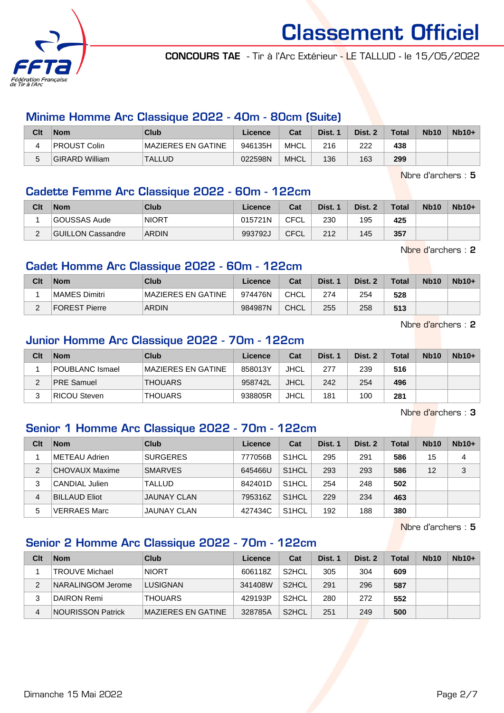

CONCOURS TAE - Tir à l'Arc Extérieur - LE TALLUD - le 15/05/2022

### Minime Homme Arc Classique 2022 - 40m - 80cm (Suite)

| Clt | <b>Nom</b>            | Club               | Licence | Cat         | Dist. 1 | Dist. 2 | <b>Total</b> | <b>Nb10</b> | $Nb10+$ |
|-----|-----------------------|--------------------|---------|-------------|---------|---------|--------------|-------------|---------|
|     | <b>PROUST Colin</b>   | MAZIERES EN GATINE | 946135H | MHCL        | 216     | 222     | 438          |             |         |
| 5   | <b>GIRARD William</b> | <b>TALLUD</b>      | 022598N | <b>MHCL</b> | 136     | 163     | 299          |             |         |

Nbre d'archers : 5

#### Cadette Femme Arc Classique 2022 - 60m - 122cm

| Clt | <b>Nom</b>        | Club         | Licence | Cat         | Dist. 1 | Dist. 2 | <b>Total</b> | <b>Nb10</b> | $Nb10+$ |
|-----|-------------------|--------------|---------|-------------|---------|---------|--------------|-------------|---------|
|     | GOUSSAS Aude      | <b>NIORT</b> | 015721N | CFCL        | 230     | 195     | 425          |             |         |
|     | GUILLON Cassandre | <b>ARDIN</b> | 993792J | <b>CFCL</b> | 212     | 145     | 357          |             |         |

Nbre d'archers : 2

# Cadet Homme Arc Classique 2022 - 60m - 122cm

| Clt | <b>Nom</b>           | <b>Club</b>               | Licence | Cat         | Dist. 1 | Dist. 2 | <b>Total</b> | <b>Nb10</b> | $Nb10+$ |
|-----|----------------------|---------------------------|---------|-------------|---------|---------|--------------|-------------|---------|
|     | <b>MAMES Dimitri</b> | <b>MAZIERES EN GATINE</b> | 974476N | <b>CHCL</b> | 274     | 254     | 528          |             |         |
| ົ   | FOREST Pierre        | ARDIN                     | 984987N | <b>CHCL</b> | 255     | 258     | 513          |             |         |

Nbre d'archers : 2

# Junior Homme Arc Classique 2022 - 70m - 122cm

| Clt | <b>Nom</b>          | Club                | Licence | Cat         | Dist. 1 | Dist. 2 | <b>Total</b> | <b>Nb10</b> | $Nb10+$ |
|-----|---------------------|---------------------|---------|-------------|---------|---------|--------------|-------------|---------|
|     | POUBLANC Ismael     | IMAZIERES EN GATINE | 858013Y | <b>JHCL</b> | 277     | 239     | 516          |             |         |
|     | <b>PRE Samuel</b>   | <b>THOUARS</b>      | 958742L | <b>JHCL</b> | 242     | 254     | 496          |             |         |
| ົ   | <b>RICOU Steven</b> | <b>THOUARS</b>      | 938805R | JHCL        | 181     | 100     | 281          |             |         |

Nbre d'archers : 3

# Senior 1 Homme Arc Classique 2022 - 70m - 122cm

| Clt | <b>Nom</b>            | Club               | Licence | Cat                | Dist. 1 | Dist. 2 | Total | <b>Nb10</b> | $Nb10+$ |
|-----|-----------------------|--------------------|---------|--------------------|---------|---------|-------|-------------|---------|
|     | METEAU Adrien         | <b>SURGERES</b>    | 777056B | S <sub>1</sub> HCL | 295     | 291     | 586   | 15          | 4       |
| 2   | CHOVAUX Maxime        | <b>SMARVES</b>     | 645466U | S <sub>1</sub> HCL | 293     | 293     | 586   | 12          | 3       |
| 3   | <b>CANDIAL Julien</b> | <b>TALLUD</b>      | 842401D | S <sub>1</sub> HCL | 254     | 248     | 502   |             |         |
| 4   | <b>BILLAUD Eliot</b>  | <b>JAUNAY CLAN</b> | 795316Z | S <sub>1</sub> HCL | 229     | 234     | 463   |             |         |
| 5   | <b>VERRAES Marc</b>   | <b>JAUNAY CLAN</b> | 427434C | S <sub>1</sub> HCL | 192     | 188     | 380   |             |         |

Nbre d'archers : 5

# Senior 2 Homme Arc Classique 2022 - 70m - 122cm

| Clt | <b>Nom</b>               | Club               | Licence | Cat                | Dist. 1 | Dist. 2 | <b>Total</b> | <b>Nb10</b> | $Nb10+$ |
|-----|--------------------------|--------------------|---------|--------------------|---------|---------|--------------|-------------|---------|
|     | TROUVE Michael           | <b>NIORT</b>       | 606118Z | S <sub>2</sub> HCL | 305     | 304     | 609          |             |         |
| 2   | NARALINGOM Jerome        | ILUSIGNAN          | 341408W | S <sub>2</sub> HCL | 291     | 296     | 587          |             |         |
| 3   | DAIRON Remi              | <b>THOUARS</b>     | 429193P | S <sub>2</sub> HCL | 280     | 272     | 552          |             |         |
| 4   | <b>NOURISSON Patrick</b> | MAZIERES EN GATINE | 328785A | S <sub>2</sub> HCL | 251     | 249     | 500          |             |         |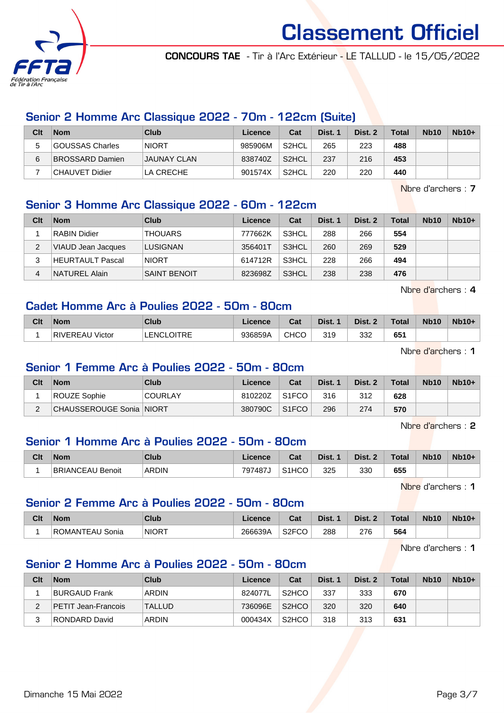

CONCOURS TAE - Tir à l'Arc Extérieur - LE TALLUD - le 15/05/2022

# Senior 2 Homme Arc Classique 2022 - 70m - 122cm (Suite)

| Clt | <b>Nom</b>      | Club         | Licence | Cat                | Dist. 1 | Dist. 2 | <b>Total</b> | <b>Nb10</b> | $Nb10+$ |
|-----|-----------------|--------------|---------|--------------------|---------|---------|--------------|-------------|---------|
|     | GOUSSAS Charles | <b>NIORT</b> | 985906M | S2HCL              | 265     | 223     | 488          |             |         |
| 6   | BROSSARD Damien | JAUNAY CLAN. | 838740Z | S <sub>2</sub> HCL | 237     | 216     | 453          |             |         |
|     | CHAUVET Didier  | LA CRECHE    | 901574X | S2HCL              | 220     | 220     | 440          |             |         |

Nbre d'archers : 7

### Senior 3 Homme Arc Classique 2022 - 60m - 122cm

| Clt | <b>Nom</b>              | Club                | Licence | Cat   | Dist. 1 | Dist. 2 | <b>Total</b> | <b>Nb10</b> | $Nb10+$ |
|-----|-------------------------|---------------------|---------|-------|---------|---------|--------------|-------------|---------|
|     | <b>RABIN Didier</b>     | <b>THOUARS</b>      | 777662K | S3HCL | 288     | 266     | 554          |             |         |
| 2   | VIAUD Jean Jacques      | LUSIGNAN            | 356401T | S3HCL | 260     | 269     | 529          |             |         |
| 3   | <b>HEURTAULT Pascal</b> | <b>NIORT</b>        | 614712R | S3HCL | 228     | 266     | 494          |             |         |
| 4   | INATUREL Alain          | <b>SAINT BENOIT</b> | 823698Z | S3HCL | 238     | 238     | 476          |             |         |

Nbre d'archers : 4

# Cadet Homme Arc à Poulies 2022 - 50m - 80cm

| Clt | <b>Nom</b>      | Club              | ∟icence | <b>Column</b><br>val | Dist.       | Dist. 2 | <b>Total</b> | <b>Nb10</b> | $Nb10+$ |
|-----|-----------------|-------------------|---------|----------------------|-------------|---------|--------------|-------------|---------|
|     | RIVEREAU Victor | <b>LENCLOITRE</b> | 936859A | <b>CHCO</b>          | 310<br>ی رب | 332     | 651          |             |         |

Nbre d'archers : 1

#### Senior 1 Femme Arc à Poulies 2022 - 50m - 80cm

| Clt    | <b>Nom</b>                 | Club           | Licence | Cat                | Dist. 1 | Dist. 2 | <b>Total</b> | <b>Nb10</b> | $Nb10+$ |
|--------|----------------------------|----------------|---------|--------------------|---------|---------|--------------|-------------|---------|
|        | ROUZE Sophie               | <b>COURLAY</b> | 810220Z | S <sub>1</sub> FCO | 316     | 312     | 628          |             |         |
| $\sim$ | CHAUSSEROUGE Sonia   NIORT |                | 380790C | S <sub>1</sub> FCO | 296     | 274     | 570          |             |         |

Nbre d'archers : 2

# Senior 1 Homme Arc à Poulies 2022 - 50m - 80cm

| Clt | <b>Nom</b>       | Club         | Licence | <b>Dol</b><br>ua   | Dist. | Dist. | <b>Total</b> | <b>Nb10</b> | <b>Nb10+</b> |
|-----|------------------|--------------|---------|--------------------|-------|-------|--------------|-------------|--------------|
|     | BRIANCEAU Benoit | <b>ARDIN</b> | 797487J | S <sub>1</sub> HCO | 325   | 330   | 655          |             |              |

Nbre d'archers : 1

# Senior 2 Femme Arc à Poulies 2022 - 50m - 80cm

| Clt | <b>Nom</b>                      | Club   | ∟icence | <b>Take</b><br>⊍aι             | Dist. | Dist. | <b>Total</b> | <b>Nb10</b> | $Nb10+$ |
|-----|---------------------------------|--------|---------|--------------------------------|-------|-------|--------------|-------------|---------|
|     | ROMANTEAU<br><sup>'</sup> Sonia | ∂NIORT | 266639A | S <sub>2</sub> FC <sub>O</sub> | 288   | 276   | 564          |             |         |

Nbre d'archers : 1

### Senior 2 Homme Arc à Poulies 2022 - 50m - 80cm

| Clt | <b>Nom</b>          | Club          | Licence | Cat                | Dist. 1 | Dist. 2 | <b>Total</b> | <b>Nb10</b> | $Nb10+$ |
|-----|---------------------|---------------|---------|--------------------|---------|---------|--------------|-------------|---------|
|     | BURGAUD Frank       | ARDIN         | 824077L | S <sub>2</sub> HCO | 337     | 333     | 670          |             |         |
| ົ   | PETIT Jean-Francois | <b>TALLUD</b> | 736096E | S <sub>2</sub> HCO | 320     | 320     | 640          |             |         |
| 3   | RONDARD David       | ARDIN         | 000434X | S <sub>2</sub> HCO | 318     | 313     | 631          |             |         |

Dimanche 15 Mai 2022 **Page 3/7**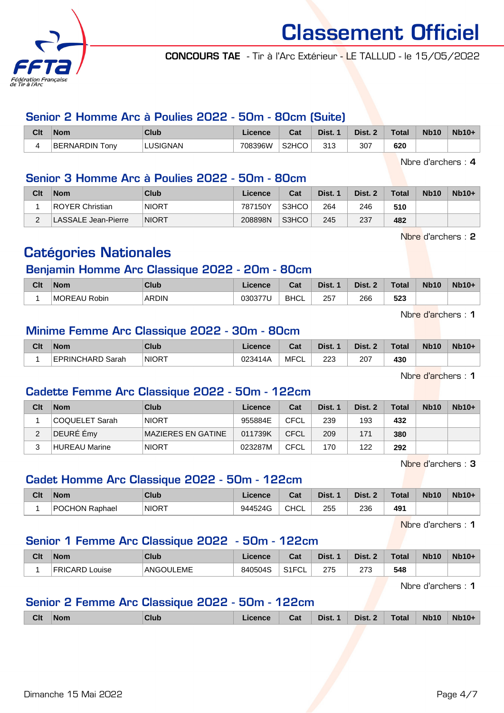

CONCOURS TAE - Tir à l'Arc Extérieur - LE TALLUD - le 15/05/2022

# Senior 2 Homme Arc à Poulies 2022 - 50m - 80cm (Suite)

| Clt | <b>Nom</b>            | Club            | Licence | <b>Dol</b><br>⊍a   | Dist.      | Dist. 2 | <b>Total</b> | <b>Nb10</b> | <b>Nb10+</b> |
|-----|-----------------------|-----------------|---------|--------------------|------------|---------|--------------|-------------|--------------|
|     | <b>BERNARDIN Tony</b> | <b>LUSIGNAN</b> | 708396W | S <sub>2</sub> HCO | 242<br>۱ ت | 307     | 620          |             |              |

Nbre d'archers : 4

### Senior 3 Homme Arc à Poulies 2022 - 50m - 80cm

| Clt | <b>Nom</b>             | Club         | Licence | Cat   | Dist. 1 | Dist. 2 | <b>Total</b> | <b>Nb10</b> | $Nb10+$ |
|-----|------------------------|--------------|---------|-------|---------|---------|--------------|-------------|---------|
|     | <b>ROYER Christian</b> | <b>NIORT</b> | 787150Y | S3HCO | 264     | 246     | 510          |             |         |
|     | LASSALE Jean-Pierre    | <b>NIORT</b> | 208898N | S3HCO | 245     | 237     | 482          |             |         |

Nbre d'archers : 2

# Catégories Nationales

#### Benjamin Homme Arc Classique 2022 - 20m - 80cm

| Clt | Nom          | Club         | icence  | Cat         | Dist. | Dist.<br>$\sim$ | <b>Total</b> | <b>Nb10</b> | <b>Nb10+</b> |
|-----|--------------|--------------|---------|-------------|-------|-----------------|--------------|-------------|--------------|
|     | MOREAU Robin | <b>ARDIN</b> | 030377L | <b>BHCL</b> | 257   | 266             | 523<br>. .   |             |              |

Nbre d'archers : 1

# Minime Femme Arc Classique 2022 - 30m - 80cm

| Clt | <b>Nom</b>              | Club         | Licence | Cat  | Dist. | Dist. 2 | $\tau$ otal | <b>Nb10</b> | $Nb10+$ |
|-----|-------------------------|--------------|---------|------|-------|---------|-------------|-------------|---------|
|     | <b>EPRINCHARD Sarah</b> | <b>NIORT</b> | 023414A | MFCL | 223   | 207     | 430         |             |         |

Nbre d'archers : 1

#### Cadette Femme Arc Classique 2022 - 50m - 122cm

| Clt | <b>Nom</b>     | Club                | Licence | Cat  | Dist. 1 | Dist. 2 | <b>Total</b> | <b>Nb10</b> | $Nb10+$ |
|-----|----------------|---------------------|---------|------|---------|---------|--------------|-------------|---------|
|     | COQUELET Sarah | <b>NIORT</b>        | 955884E | CFCL | 239     | 193     | 432          |             |         |
| C   | DEURÉ Émv      | IMAZIERES EN GATINE | 011739K | CFCL | 209     | 171     | 380          |             |         |
|     | HUREAU Marine  | <b>NIORT</b>        | 023287M | CFCL | 170     | 122     | 292          |             |         |

Nbre d'archers : 3

# Cadet Homme Arc Classique 2022 - 50m - 122cm

| Clt | <b>Nom</b>     | Club  | Licence | Cat         | Dist. | Dist. 2 | <b>Total</b> | <b>Nb10</b> | $Nb10+$ |
|-----|----------------|-------|---------|-------------|-------|---------|--------------|-------------|---------|
|     | POCHON Raphael | NIORT | 944524G | <b>CHCL</b> | 255   | 236     | 491          |             |         |

Nbre d'archers : 1

# Senior 1 Femme Arc Classique 2022 - 50m - 122cm

| Clt | <b>Nom</b>                 | Club      | Licence | $R_{\rm{eff}}$<br>ual | Dist. | Dist.       | <b>Total</b> | <b>Nb10</b> | <b>Nb10+</b> |
|-----|----------------------------|-----------|---------|-----------------------|-------|-------------|--------------|-------------|--------------|
|     | <b>FRICARD L</b><br>Louise | ANGOULEME | 840504S | 0.1501<br>'۱۲د<br>-UL | 275   | היה<br>ں ہے | 548          |             |              |

Nbre d'archers : 1

# Senior 2 Femme Arc Classique 2022 - 50m - 122cm

|  | Clt | $\blacksquare$ | Club | Licence | Cat | Dist. 1 Dist. 2 Total |  |  | <b>Nb10</b> | Nb10+ |
|--|-----|----------------|------|---------|-----|-----------------------|--|--|-------------|-------|
|--|-----|----------------|------|---------|-----|-----------------------|--|--|-------------|-------|

Dimanche 15 Mai 2022 **Page 4/7**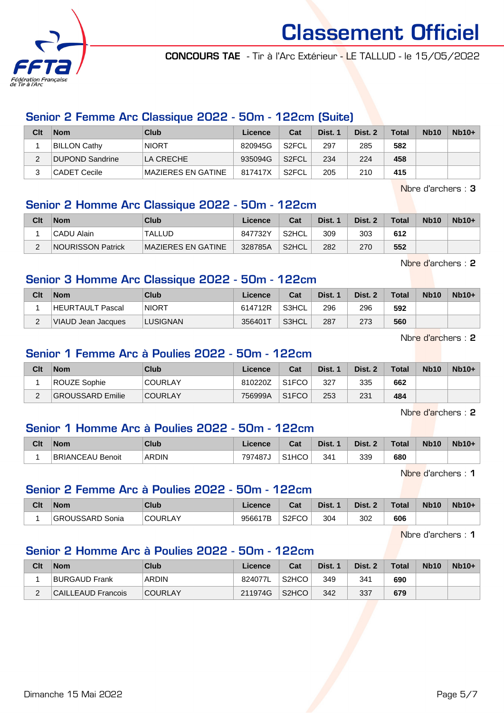

CONCOURS TAE - Tir à l'Arc Extérieur - LE TALLUD - le 15/05/2022

Classement Officiel

# Senior 2 Femme Arc Classique 2022 - 50m - 122cm (Suite)

| Clt | <b>Nom</b>          | Club               | Licence | Cat                | Dist. 1 | Dist. 2 | <b>Total</b> | <b>Nb10</b> | $Nb10+$ |
|-----|---------------------|--------------------|---------|--------------------|---------|---------|--------------|-------------|---------|
|     | <b>BILLON Cathy</b> | <b>NIORT</b>       | 820945G | S2FCL              | 297     | 285     | 582          |             |         |
|     | DUPOND Sandrine     | LA CRECHE          | 935094G | S <sub>2</sub> FCL | 234     | 224     | 458          |             |         |
|     | CADET Cecile        | MAZIERES EN GATINE | 817417X | S <sub>2</sub> FCL | 205     | 210     | 415          |             |         |

Nbre d'archers : 3

#### Senior 2 Homme Arc Classique 2022 - 50m - 122cm

| Clt | <b>Nom</b>        | Club                | Licence | Cat                | Dist. 1 | Dist. 2 | <b>Total</b> | <b>Nb10</b> | $Nb10+$ |
|-----|-------------------|---------------------|---------|--------------------|---------|---------|--------------|-------------|---------|
|     | CADU Alain        | TALLUD              | 847732Y | S <sub>2</sub> HCL | 309     | 303     | 612          |             |         |
|     | NOURISSON Patrick | IMAZIERES EN GATINE | 328785A | S <sub>2</sub> HCL | 282     | 270     | 552          |             |         |

Nbre d'archers : 2

#### Senior 3 Homme Arc Classique 2022 - 50m - 122cm

| Clt | <b>Nom</b>         | Club            | Licence | Cat   | Dist. 1 | Dist. 2 | <b>Total</b> | <b>Nb10</b> | $Nb10+$ |
|-----|--------------------|-----------------|---------|-------|---------|---------|--------------|-------------|---------|
|     | HEURTAULT Pascal   | <b>NIORT</b>    | 614712R | S3HCL | 296     | 296     | 592          |             |         |
| ີ   | VIAUD Jean Jacques | <b>LUSIGNAN</b> | 356401T | S3HCL | 287     | 273     | 560          |             |         |

Nbre d'archers : 2

### Senior 1 Femme Arc à Poulies 2022 - 50m - 122cm

| Clt | <b>Nom</b>               | Club           | Licence | Cat                | Dist. 1 | Dist. 2 | <b>Total</b> | <b>Nb10</b> | $Nb10+$ |
|-----|--------------------------|----------------|---------|--------------------|---------|---------|--------------|-------------|---------|
|     | ROUZE Sophie             | <b>COURLAY</b> | 810220Z | S <sub>1</sub> FCO | 327     | 335     | 662          |             |         |
|     | <b>IGROUSSARD Emilie</b> | <b>COURLAY</b> | 756999A | S <sub>1</sub> FCO | 253     | 231     | 484          |             |         |

Nbre d'archers : 2

#### Senior 1 Homme Arc à Poulies 2022 - 50m - 122cm

| Clt | <b>Nom</b>       | Club         | Licence | Cat                | Dist. | Dist. 2 | Total | <b>Nb10</b> | <b>Nb10+</b> |
|-----|------------------|--------------|---------|--------------------|-------|---------|-------|-------------|--------------|
|     | BRIANCEAU Benoit | <b>ARDIN</b> | 797487J | S <sub>1</sub> HCO | 341   | 339     | 680   |             |              |

Nbre d'archers : 1

#### Senior 2 Femme Arc à Poulies 2022 - 50m - 122cm

| Clt | <b>Nom</b>                | Club           | ∟icence⊦ | $R_{\rm eff}$<br>⊍a | Dist. | Dist. 2<br>$\sqrt{2}$ | <b>Total</b> | <b>Nb10</b> | $Nb10+$ |
|-----|---------------------------|----------------|----------|---------------------|-------|-----------------------|--------------|-------------|---------|
|     | <b>GROUSSARD</b><br>Sonia | <b>COURLAY</b> | 956617B  | S2FCO               | 304   | 302                   | 606          |             |         |

Nbre d'archers : 1

# Senior 2 Homme Arc à Poulies 2022 - 50m - 122cm

| Clt      | <b>Nom</b>         | Club           | Licence | Cat                | Dist. 1 | Dist. 2 | <b>Total</b> | <b>Nb10</b> | $Nb10+$ |
|----------|--------------------|----------------|---------|--------------------|---------|---------|--------------|-------------|---------|
|          | BURGAUD Frank      | <b>ARDIN</b>   | 824077L | S <sub>2</sub> HCO | 349     | 341     | 690          |             |         |
| <u>.</u> | CAILLEAUD Francois | <b>COURLAY</b> | 211974G | S <sub>2</sub> HCO | 342     | 337     | 679          |             |         |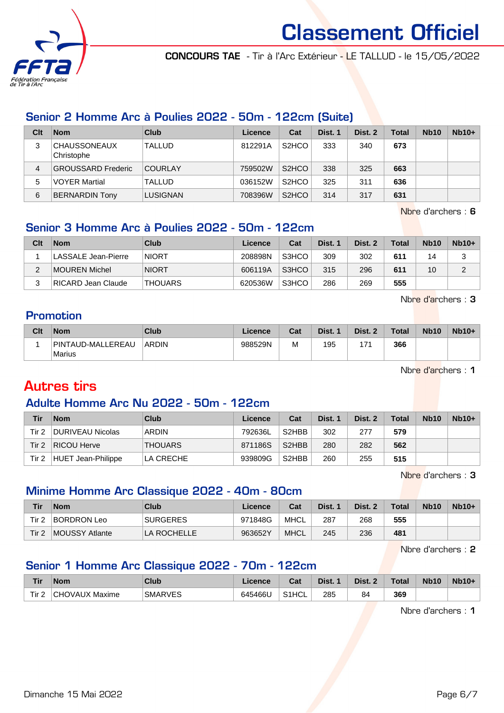

CONCOURS TAE - Tir à l'Arc Extérieur - LE TALLUD - le 15/05/2022

# Senior 2 Homme Arc à Poulies 2022 - 50m - 122cm (Suite)

| Clt | <b>Nom</b>                 | <b>Club</b>    | Licence | Cat                            | Dist. 1 | Dist. 2 | <b>Total</b> | <b>Nb10</b> | $Nb10+$ |
|-----|----------------------------|----------------|---------|--------------------------------|---------|---------|--------------|-------------|---------|
| 3   | CHAUSSONEAUX<br>Christophe | <b>TALLUD</b>  | 812291A | S <sub>2</sub> H <sub>CO</sub> | 333     | 340     | 673          |             |         |
| 4   | GROUSSARD Frederic         | <b>COURLAY</b> | 759502W | S <sub>2</sub> HCO             | 338     | 325     | 663          |             |         |
| 5   | <b>VOYER Martial</b>       | TALLUD         | 036152W | S <sub>2</sub> H <sub>CO</sub> | 325     | 311     | 636          |             |         |
| 6   | <b>BERNARDIN Tony</b>      | LUSIGNAN       | 708396W | S <sub>2</sub> H <sub>CO</sub> | 314     | 317     | 631          |             |         |

Nbre d'archers : 6

# Senior 3 Homme Arc à Poulies 2022 - 50m - 122cm

| Clt | <b>Nom</b>          | Club           | Licence | Cat   | Dist. 1 | Dist. 2 | <b>Total</b> | <b>Nb10</b> | $Nb10+$ |
|-----|---------------------|----------------|---------|-------|---------|---------|--------------|-------------|---------|
|     | LASSALE Jean-Pierre | <b>NIORT</b>   | 208898N | S3HCO | 309     | 302     | 611          | 14          |         |
| າ   | MOUREN Michel       | <b>NIORT</b>   | 606119A | S3HCO | 315     | 296     | 611          | 10          | ົ       |
| ว   | RICARD Jean Claude  | <b>THOUARS</b> | 620536W | S3HCO | 286     | 269     | 555          |             |         |

Nbre d'archers : 3

# Promotion

| Clt | <b>Nom</b>                  | Club         | Licence | Cat | Dist.<br>$\overline{ }$ | Dist. 2<br>ാ | <b>Total</b> | <b>Nb10</b> | $Nb10+$ |
|-----|-----------------------------|--------------|---------|-----|-------------------------|--------------|--------------|-------------|---------|
|     | PINTAUD-MALLEREAU<br>Marius | <b>ARDIN</b> | 988529N | M   | 195                     | 171          | 366          |             |         |

Nbre d'archers : 1

# Autres tirs

# Adulte Homme Arc Nu 2022 - 50m - 122cm

| Tir   | <b>Nom</b>         | Club           | Licence | Cat                | Dist. 1 | Dist. 2 | <b>Total</b> | <b>Nb10</b> | $Nb10+$ |
|-------|--------------------|----------------|---------|--------------------|---------|---------|--------------|-------------|---------|
| Tir 2 | DURIVEAU Nicolas   | <b>ARDIN</b>   | 792636L | S <sub>2</sub> HBB | 302     | 277     | 579          |             |         |
| Tir 2 | <b>RICOU Herve</b> | <b>THOUARS</b> | 871186S | S <sub>2</sub> HBB | 280     | 282     | 562          |             |         |
| Tir 2 | HUET Jean-Philippe | LA CRECHE      | 939809G | S <sub>2</sub> HBB | 260     | 255     | 515          |             |         |

Nbre d'archers : 3

# Minime Homme Arc Classique 2022 - 40m - 80cm

| Tir              | <b>Nom</b>     | Club            | Licence | Cat         | Dist. 1 | Dist. 2 | <b>Total</b> | <b>Nb10</b> | $Nb10+$ |
|------------------|----------------|-----------------|---------|-------------|---------|---------|--------------|-------------|---------|
| Tir 2            | BORDRON Leo    | <b>SURGERES</b> | 971848G | <b>MHCL</b> | 287     | 268     | 555          |             |         |
| Tir <sub>2</sub> | MOUSSY Atlante | LA ROCHELLE     | 963652Y | <b>MHCL</b> | 245     | 236     | 481          |             |         |

Nbre d'archers : 2

# Senior 1 Homme Arc Classique 2022 - 70m - 122cm

| <b>Tir</b>       | <b>Nom</b>     | Club           | ∟icence | $\sim$<br>saı      | Dist. | Dist. 2 | <b>Total</b> | <b>Nb10</b> | $Nb10+$ |
|------------------|----------------|----------------|---------|--------------------|-------|---------|--------------|-------------|---------|
| Tir <sub>2</sub> | CHOVAUX Maxime | <b>SMARVES</b> | 645466U | S <sub>1</sub> HCL | 285   | 84      | 369          |             |         |

Nbre d'archers : 1